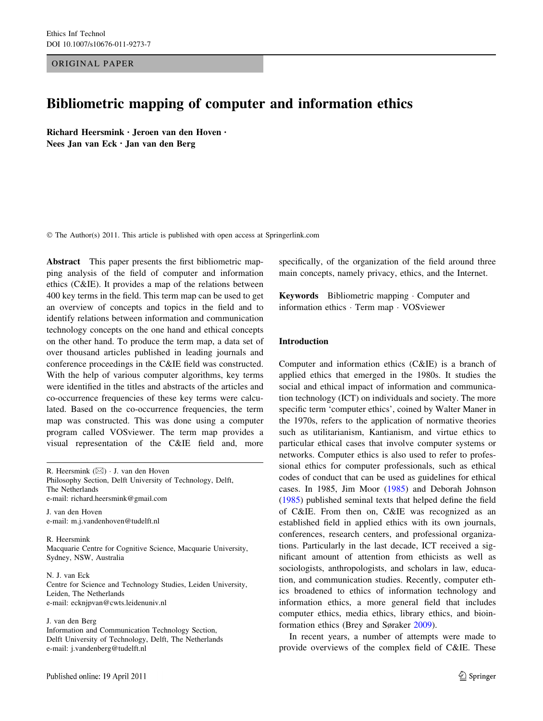ORIGINAL PAPER

# Bibliometric mapping of computer and information ethics

Richard Heersmink • Jeroen van den Hoven • Nees Jan van Eck • Jan van den Berg

© The Author(s) 2011. This article is published with open access at Springerlink.com

Abstract This paper presents the first bibliometric mapping analysis of the field of computer and information ethics (C&IE). It provides a map of the relations between 400 key terms in the field. This term map can be used to get an overview of concepts and topics in the field and to identify relations between information and communication technology concepts on the one hand and ethical concepts on the other hand. To produce the term map, a data set of over thousand articles published in leading journals and conference proceedings in the C&IE field was constructed. With the help of various computer algorithms, key terms were identified in the titles and abstracts of the articles and co-occurrence frequencies of these key terms were calculated. Based on the co-occurrence frequencies, the term map was constructed. This was done using a computer program called VOSviewer. The term map provides a visual representation of the C&IE field and, more

R. Heersmink  $(\boxtimes) \cdot$  J. van den Hoven Philosophy Section, Delft University of Technology, Delft, The Netherlands e-mail: richard.heersmink@gmail.com

J. van den Hoven e-mail: m.j.vandenhoven@tudelft.nl

R. Heersmink

Macquarie Centre for Cognitive Science, Macquarie University, Sydney, NSW, Australia

N. J. van Eck

Centre for Science and Technology Studies, Leiden University, Leiden, The Netherlands e-mail: ecknjpvan@cwts.leidenuniv.nl

J. van den Berg

Information and Communication Technology Section, Delft University of Technology, Delft, The Netherlands e-mail: j.vandenberg@tudelft.nl

specifically, of the organization of the field around three main concepts, namely privacy, ethics, and the Internet.

Keywords Bibliometric mapping - Computer and information ethics - Term map - VOSviewer

## Introduction

Computer and information ethics (C&IE) is a branch of applied ethics that emerged in the 1980s. It studies the social and ethical impact of information and communication technology (ICT) on individuals and society. The more specific term 'computer ethics', coined by Walter Maner in the 1970s, refers to the application of normative theories such as utilitarianism, Kantianism, and virtue ethics to particular ethical cases that involve computer systems or networks. Computer ethics is also used to refer to professional ethics for computer professionals, such as ethical codes of conduct that can be used as guidelines for ethical cases. In 1985, Jim Moor ([1985\)](#page-8-0) and Deborah Johnson [\(1985](#page-8-0)) published seminal texts that helped define the field of C&IE. From then on, C&IE was recognized as an established field in applied ethics with its own journals, conferences, research centers, and professional organizations. Particularly in the last decade, ICT received a significant amount of attention from ethicists as well as sociologists, anthropologists, and scholars in law, education, and communication studies. Recently, computer ethics broadened to ethics of information technology and information ethics, a more general field that includes computer ethics, media ethics, library ethics, and bioinformation ethics (Brey and Søraker [2009\)](#page-8-0).

In recent years, a number of attempts were made to provide overviews of the complex field of C&IE. These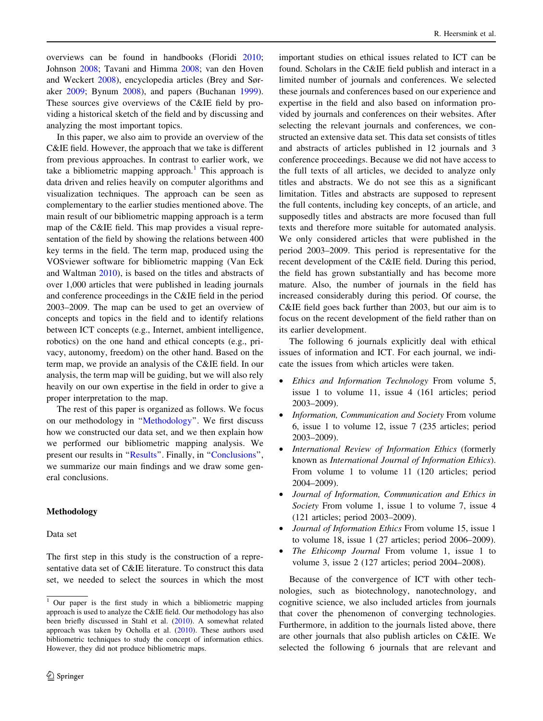overviews can be found in handbooks (Floridi [2010](#page-8-0); Johnson [2008;](#page-8-0) Tavani and Himma [2008;](#page-8-0) van den Hoven and Weckert [2008](#page-8-0)), encyclopedia articles (Brey and Søraker [2009;](#page-8-0) Bynum [2008\)](#page-8-0), and papers (Buchanan [1999](#page-8-0)). These sources give overviews of the C&IE field by providing a historical sketch of the field and by discussing and analyzing the most important topics.

In this paper, we also aim to provide an overview of the C&IE field. However, the approach that we take is different from previous approaches. In contrast to earlier work, we take a bibliometric mapping approach.<sup>1</sup> This approach is data driven and relies heavily on computer algorithms and visualization techniques. The approach can be seen as complementary to the earlier studies mentioned above. The main result of our bibliometric mapping approach is a term map of the C&IE field. This map provides a visual representation of the field by showing the relations between 400 key terms in the field. The term map, produced using the VOSviewer software for bibliometric mapping (Van Eck and Waltman [2010\)](#page-8-0), is based on the titles and abstracts of over 1,000 articles that were published in leading journals and conference proceedings in the C&IE field in the period 2003–2009. The map can be used to get an overview of concepts and topics in the field and to identify relations between ICT concepts (e.g., Internet, ambient intelligence, robotics) on the one hand and ethical concepts (e.g., privacy, autonomy, freedom) on the other hand. Based on the term map, we provide an analysis of the C&IE field. In our analysis, the term map will be guiding, but we will also rely heavily on our own expertise in the field in order to give a proper interpretation to the map.

The rest of this paper is organized as follows. We focus on our methodology in ''Methodology''. We first discuss how we constructed our data set, and we then explain how we performed our bibliometric mapping analysis. We present our results in "[Results](#page-4-0)". Finally, in "[Conclusions](#page-7-0)", we summarize our main findings and we draw some general conclusions.

#### Methodology

## Data set

The first step in this study is the construction of a representative data set of C&IE literature. To construct this data set, we needed to select the sources in which the most important studies on ethical issues related to ICT can be found. Scholars in the C&IE field publish and interact in a limited number of journals and conferences. We selected these journals and conferences based on our experience and expertise in the field and also based on information provided by journals and conferences on their websites. After selecting the relevant journals and conferences, we constructed an extensive data set. This data set consists of titles and abstracts of articles published in 12 journals and 3 conference proceedings. Because we did not have access to the full texts of all articles, we decided to analyze only titles and abstracts. We do not see this as a significant limitation. Titles and abstracts are supposed to represent the full contents, including key concepts, of an article, and supposedly titles and abstracts are more focused than full texts and therefore more suitable for automated analysis. We only considered articles that were published in the period 2003–2009. This period is representative for the recent development of the C&IE field. During this period, the field has grown substantially and has become more mature. Also, the number of journals in the field has increased considerably during this period. Of course, the C&IE field goes back further than 2003, but our aim is to focus on the recent development of the field rather than on its earlier development.

The following 6 journals explicitly deal with ethical issues of information and ICT. For each journal, we indicate the issues from which articles were taken.

- Ethics and Information Technology From volume 5, issue 1 to volume 11, issue 4 (161 articles; period 2003–2009).
- Information, Communication and Society From volume 6, issue 1 to volume 12, issue 7 (235 articles; period 2003–2009).
- International Review of Information Ethics (formerly known as International Journal of Information Ethics). From volume 1 to volume 11 (120 articles; period 2004–2009).
- Journal of Information, Communication and Ethics in Society From volume 1, issue 1 to volume 7, issue 4 (121 articles; period 2003–2009).
- Journal of Information Ethics From volume 15, issue 1 to volume 18, issue 1 (27 articles; period 2006–2009).
- The Ethicomp Journal From volume 1, issue 1 to volume 3, issue 2 (127 articles; period 2004–2008).

Because of the convergence of ICT with other technologies, such as biotechnology, nanotechnology, and cognitive science, we also included articles from journals that cover the phenomenon of converging technologies. Furthermore, in addition to the journals listed above, there are other journals that also publish articles on C&IE. We selected the following 6 journals that are relevant and

<sup>&</sup>lt;sup>1</sup> Our paper is the first study in which a bibliometric mapping approach is used to analyze the C&IE field. Our methodology has also been briefly discussed in Stahl et al. [\(2010](#page-8-0)). A somewhat related approach was taken by Ocholla et al. [\(2010](#page-8-0)). These authors used bibliometric techniques to study the concept of information ethics. However, they did not produce bibliometric maps.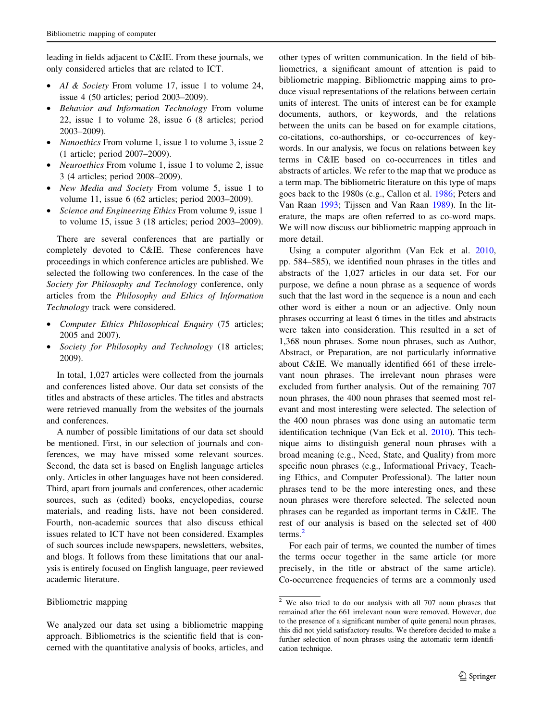leading in fields adjacent to C&IE. From these journals, we only considered articles that are related to ICT.

- AI & Society From volume 17, issue 1 to volume 24, issue 4 (50 articles; period 2003–2009).
- Behavior and Information Technology From volume 22, issue 1 to volume 28, issue 6 (8 articles; period 2003–2009).
- Nanoethics From volume 1, issue 1 to volume 3, issue 2 (1 article; period 2007–2009).
- *Neuroethics* From volume 1, issue 1 to volume 2, issue 3 (4 articles; period 2008–2009).
- New Media and Society From volume 5, issue 1 to volume 11, issue 6 (62 articles; period 2003–2009).
- Science and Engineering Ethics From volume 9, issue 1 to volume 15, issue 3 (18 articles; period 2003–2009).

There are several conferences that are partially or completely devoted to C&IE. These conferences have proceedings in which conference articles are published. We selected the following two conferences. In the case of the Society for Philosophy and Technology conference, only articles from the Philosophy and Ethics of Information Technology track were considered.

- Computer Ethics Philosophical Enquiry (75 articles; 2005 and 2007).
- Society for Philosophy and Technology (18 articles; 2009).

In total, 1,027 articles were collected from the journals and conferences listed above. Our data set consists of the titles and abstracts of these articles. The titles and abstracts were retrieved manually from the websites of the journals and conferences.

A number of possible limitations of our data set should be mentioned. First, in our selection of journals and conferences, we may have missed some relevant sources. Second, the data set is based on English language articles only. Articles in other languages have not been considered. Third, apart from journals and conferences, other academic sources, such as (edited) books, encyclopedias, course materials, and reading lists, have not been considered. Fourth, non-academic sources that also discuss ethical issues related to ICT have not been considered. Examples of such sources include newspapers, newsletters, websites, and blogs. It follows from these limitations that our analysis is entirely focused on English language, peer reviewed academic literature.

## Bibliometric mapping

We analyzed our data set using a bibliometric mapping approach. Bibliometrics is the scientific field that is concerned with the quantitative analysis of books, articles, and other types of written communication. In the field of bibliometrics, a significant amount of attention is paid to bibliometric mapping. Bibliometric mapping aims to produce visual representations of the relations between certain units of interest. The units of interest can be for example documents, authors, or keywords, and the relations between the units can be based on for example citations, co-citations, co-authorships, or co-occurrences of keywords. In our analysis, we focus on relations between key terms in C&IE based on co-occurrences in titles and abstracts of articles. We refer to the map that we produce as a term map. The bibliometric literature on this type of maps goes back to the 1980s (e.g., Callon et al. [1986;](#page-8-0) Peters and Van Raan [1993](#page-8-0); Tijssen and Van Raan [1989](#page-8-0)). In the literature, the maps are often referred to as co-word maps. We will now discuss our bibliometric mapping approach in more detail.

Using a computer algorithm (Van Eck et al. [2010,](#page-8-0) pp. 584–585), we identified noun phrases in the titles and abstracts of the 1,027 articles in our data set. For our purpose, we define a noun phrase as a sequence of words such that the last word in the sequence is a noun and each other word is either a noun or an adjective. Only noun phrases occurring at least 6 times in the titles and abstracts were taken into consideration. This resulted in a set of 1,368 noun phrases. Some noun phrases, such as Author, Abstract, or Preparation, are not particularly informative about C&IE. We manually identified 661 of these irrelevant noun phrases. The irrelevant noun phrases were excluded from further analysis. Out of the remaining 707 noun phrases, the 400 noun phrases that seemed most relevant and most interesting were selected. The selection of the 400 noun phrases was done using an automatic term identification technique (Van Eck et al. [2010](#page-8-0)). This technique aims to distinguish general noun phrases with a broad meaning (e.g., Need, State, and Quality) from more specific noun phrases (e.g., Informational Privacy, Teaching Ethics, and Computer Professional). The latter noun phrases tend to be the more interesting ones, and these noun phrases were therefore selected. The selected noun phrases can be regarded as important terms in C&IE. The rest of our analysis is based on the selected set of 400 terms.<sup>2</sup>

For each pair of terms, we counted the number of times the terms occur together in the same article (or more precisely, in the title or abstract of the same article). Co-occurrence frequencies of terms are a commonly used

<sup>2</sup> We also tried to do our analysis with all 707 noun phrases that remained after the 661 irrelevant noun were removed. However, due to the presence of a significant number of quite general noun phrases, this did not yield satisfactory results. We therefore decided to make a further selection of noun phrases using the automatic term identification technique.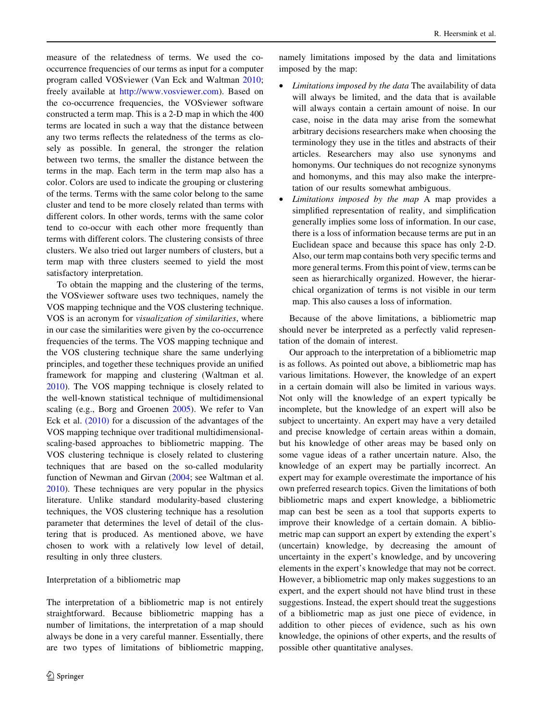measure of the relatedness of terms. We used the cooccurrence frequencies of our terms as input for a computer program called VOSviewer (Van Eck and Waltman [2010](#page-8-0); freely available at <http://www.vosviewer.com>). Based on the co-occurrence frequencies, the VOSviewer software constructed a term map. This is a 2-D map in which the 400 terms are located in such a way that the distance between any two terms reflects the relatedness of the terms as closely as possible. In general, the stronger the relation between two terms, the smaller the distance between the terms in the map. Each term in the term map also has a color. Colors are used to indicate the grouping or clustering of the terms. Terms with the same color belong to the same cluster and tend to be more closely related than terms with different colors. In other words, terms with the same color tend to co-occur with each other more frequently than terms with different colors. The clustering consists of three clusters. We also tried out larger numbers of clusters, but a term map with three clusters seemed to yield the most satisfactory interpretation.

To obtain the mapping and the clustering of the terms, the VOSviewer software uses two techniques, namely the VOS mapping technique and the VOS clustering technique. VOS is an acronym for visualization of similarities, where in our case the similarities were given by the co-occurrence frequencies of the terms. The VOS mapping technique and the VOS clustering technique share the same underlying principles, and together these techniques provide an unified framework for mapping and clustering (Waltman et al. [2010\)](#page-8-0). The VOS mapping technique is closely related to the well-known statistical technique of multidimensional scaling (e.g., Borg and Groenen [2005](#page-8-0)). We refer to Van Eck et al. [\(2010\)](#page-8-0) for a discussion of the advantages of the VOS mapping technique over traditional multidimensionalscaling-based approaches to bibliometric mapping. The VOS clustering technique is closely related to clustering techniques that are based on the so-called modularity function of Newman and Girvan [\(2004](#page-8-0); see Waltman et al. [2010\)](#page-8-0). These techniques are very popular in the physics literature. Unlike standard modularity-based clustering techniques, the VOS clustering technique has a resolution parameter that determines the level of detail of the clustering that is produced. As mentioned above, we have chosen to work with a relatively low level of detail, resulting in only three clusters.

## Interpretation of a bibliometric map

The interpretation of a bibliometric map is not entirely straightforward. Because bibliometric mapping has a number of limitations, the interpretation of a map should always be done in a very careful manner. Essentially, there are two types of limitations of bibliometric mapping,

namely limitations imposed by the data and limitations imposed by the map:

- Limitations imposed by the data The availability of data will always be limited, and the data that is available will always contain a certain amount of noise. In our case, noise in the data may arise from the somewhat arbitrary decisions researchers make when choosing the terminology they use in the titles and abstracts of their articles. Researchers may also use synonyms and homonyms. Our techniques do not recognize synonyms and homonyms, and this may also make the interpretation of our results somewhat ambiguous.
- Limitations imposed by the map A map provides a simplified representation of reality, and simplification generally implies some loss of information. In our case, there is a loss of information because terms are put in an Euclidean space and because this space has only 2-D. Also, our term map contains both very specific terms and more general terms. From this point of view, terms can be seen as hierarchically organized. However, the hierarchical organization of terms is not visible in our term map. This also causes a loss of information.

Because of the above limitations, a bibliometric map should never be interpreted as a perfectly valid representation of the domain of interest.

Our approach to the interpretation of a bibliometric map is as follows. As pointed out above, a bibliometric map has various limitations. However, the knowledge of an expert in a certain domain will also be limited in various ways. Not only will the knowledge of an expert typically be incomplete, but the knowledge of an expert will also be subject to uncertainty. An expert may have a very detailed and precise knowledge of certain areas within a domain, but his knowledge of other areas may be based only on some vague ideas of a rather uncertain nature. Also, the knowledge of an expert may be partially incorrect. An expert may for example overestimate the importance of his own preferred research topics. Given the limitations of both bibliometric maps and expert knowledge, a bibliometric map can best be seen as a tool that supports experts to improve their knowledge of a certain domain. A bibliometric map can support an expert by extending the expert's (uncertain) knowledge, by decreasing the amount of uncertainty in the expert's knowledge, and by uncovering elements in the expert's knowledge that may not be correct. However, a bibliometric map only makes suggestions to an expert, and the expert should not have blind trust in these suggestions. Instead, the expert should treat the suggestions of a bibliometric map as just one piece of evidence, in addition to other pieces of evidence, such as his own knowledge, the opinions of other experts, and the results of possible other quantitative analyses.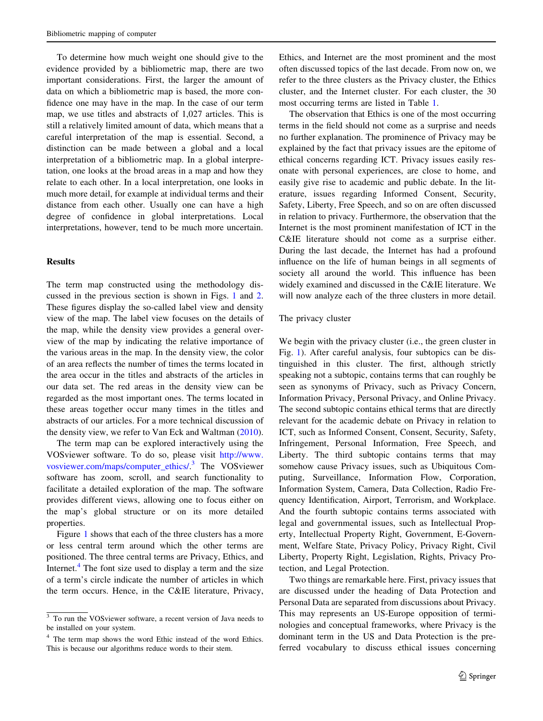<span id="page-4-0"></span>To determine how much weight one should give to the evidence provided by a bibliometric map, there are two important considerations. First, the larger the amount of data on which a bibliometric map is based, the more confidence one may have in the map. In the case of our term map, we use titles and abstracts of 1,027 articles. This is still a relatively limited amount of data, which means that a careful interpretation of the map is essential. Second, a distinction can be made between a global and a local interpretation of a bibliometric map. In a global interpretation, one looks at the broad areas in a map and how they relate to each other. In a local interpretation, one looks in much more detail, for example at individual terms and their distance from each other. Usually one can have a high degree of confidence in global interpretations. Local interpretations, however, tend to be much more uncertain.

### **Results**

The term map constructed using the methodology discussed in the previous section is shown in Figs. [1](#page-5-0) and [2.](#page-6-0) These figures display the so-called label view and density view of the map. The label view focuses on the details of the map, while the density view provides a general overview of the map by indicating the relative importance of the various areas in the map. In the density view, the color of an area reflects the number of times the terms located in the area occur in the titles and abstracts of the articles in our data set. The red areas in the density view can be regarded as the most important ones. The terms located in these areas together occur many times in the titles and abstracts of our articles. For a more technical discussion of the density view, we refer to Van Eck and Waltman [\(2010](#page-8-0)).

The term map can be explored interactively using the VOSviewer software. To do so, please visit [http://www.](http://www.vosviewer.com/maps/computer_ethics/) [vosviewer.com/maps/computer\\_ethics/.](http://www.vosviewer.com/maps/computer_ethics/) <sup>3</sup> The VOSviewer software has zoom, scroll, and search functionality to facilitate a detailed exploration of the map. The software provides different views, allowing one to focus either on the map's global structure or on its more detailed properties.

Figure [1](#page-5-0) shows that each of the three clusters has a more or less central term around which the other terms are positioned. The three central terms are Privacy, Ethics, and Internet. $<sup>4</sup>$  The font size used to display a term and the size</sup> of a term's circle indicate the number of articles in which the term occurs. Hence, in the C&IE literature, Privacy, Ethics, and Internet are the most prominent and the most often discussed topics of the last decade. From now on, we refer to the three clusters as the Privacy cluster, the Ethics cluster, and the Internet cluster. For each cluster, the 30 most occurring terms are listed in Table [1](#page-7-0).

The observation that Ethics is one of the most occurring terms in the field should not come as a surprise and needs no further explanation. The prominence of Privacy may be explained by the fact that privacy issues are the epitome of ethical concerns regarding ICT. Privacy issues easily resonate with personal experiences, are close to home, and easily give rise to academic and public debate. In the literature, issues regarding Informed Consent, Security, Safety, Liberty, Free Speech, and so on are often discussed in relation to privacy. Furthermore, the observation that the Internet is the most prominent manifestation of ICT in the C&IE literature should not come as a surprise either. During the last decade, the Internet has had a profound influence on the life of human beings in all segments of society all around the world. This influence has been widely examined and discussed in the C&IE literature. We will now analyze each of the three clusters in more detail.

### The privacy cluster

We begin with the privacy cluster (i.e., the green cluster in Fig. [1](#page-5-0)). After careful analysis, four subtopics can be distinguished in this cluster. The first, although strictly speaking not a subtopic, contains terms that can roughly be seen as synonyms of Privacy, such as Privacy Concern, Information Privacy, Personal Privacy, and Online Privacy. The second subtopic contains ethical terms that are directly relevant for the academic debate on Privacy in relation to ICT, such as Informed Consent, Consent, Security, Safety, Infringement, Personal Information, Free Speech, and Liberty. The third subtopic contains terms that may somehow cause Privacy issues, such as Ubiquitous Computing, Surveillance, Information Flow, Corporation, Information System, Camera, Data Collection, Radio Frequency Identification, Airport, Terrorism, and Workplace. And the fourth subtopic contains terms associated with legal and governmental issues, such as Intellectual Property, Intellectual Property Right, Government, E-Government, Welfare State, Privacy Policy, Privacy Right, Civil Liberty, Property Right, Legislation, Rights, Privacy Protection, and Legal Protection.

Two things are remarkable here. First, privacy issues that are discussed under the heading of Data Protection and Personal Data are separated from discussions about Privacy. This may represents an US-Europe opposition of terminologies and conceptual frameworks, where Privacy is the dominant term in the US and Data Protection is the preferred vocabulary to discuss ethical issues concerning

<sup>&</sup>lt;sup>3</sup> To run the VOSviewer software, a recent version of Java needs to be installed on your system.

<sup>4</sup> The term map shows the word Ethic instead of the word Ethics. This is because our algorithms reduce words to their stem.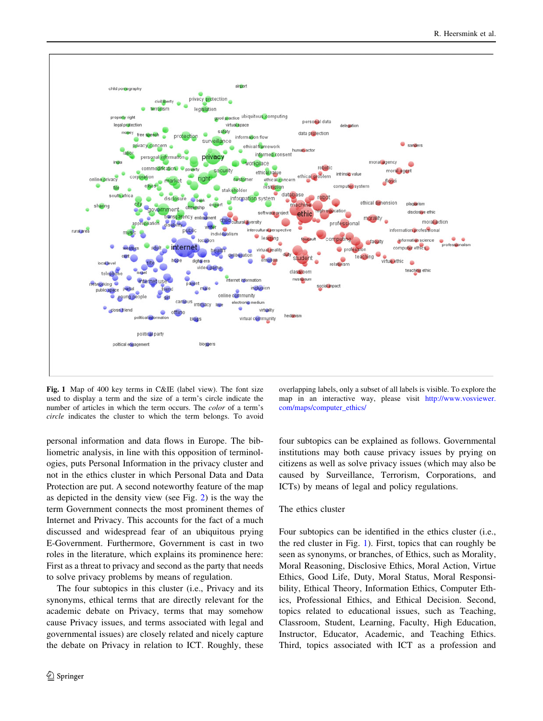<span id="page-5-0"></span>

Fig. 1 Map of 400 key terms in C&IE (label view). The font size used to display a term and the size of a term's circle indicate the number of articles in which the term occurs. The color of a term's circle indicates the cluster to which the term belongs. To avoid

personal information and data flows in Europe. The bibliometric analysis, in line with this opposition of terminologies, puts Personal Information in the privacy cluster and not in the ethics cluster in which Personal Data and Data Protection are put. A second noteworthy feature of the map as depicted in the density view (see Fig. [2\)](#page-6-0) is the way the term Government connects the most prominent themes of Internet and Privacy. This accounts for the fact of a much discussed and widespread fear of an ubiquitous prying E-Government. Furthermore, Government is cast in two roles in the literature, which explains its prominence here: First as a threat to privacy and second as the party that needs to solve privacy problems by means of regulation.

The four subtopics in this cluster (i.e., Privacy and its synonyms, ethical terms that are directly relevant for the academic debate on Privacy, terms that may somehow cause Privacy issues, and terms associated with legal and governmental issues) are closely related and nicely capture the debate on Privacy in relation to ICT. Roughly, these

overlapping labels, only a subset of all labels is visible. To explore the map in an interactive way, please visit [http://www.vosviewer.](http://www.vosviewer.com/maps/computer_ethics/) [com/maps/computer\\_ethics/](http://www.vosviewer.com/maps/computer_ethics/)

four subtopics can be explained as follows. Governmental institutions may both cause privacy issues by prying on citizens as well as solve privacy issues (which may also be caused by Surveillance, Terrorism, Corporations, and ICTs) by means of legal and policy regulations.

#### The ethics cluster

Four subtopics can be identified in the ethics cluster (i.e., the red cluster in Fig. 1). First, topics that can roughly be seen as synonyms, or branches, of Ethics, such as Morality, Moral Reasoning, Disclosive Ethics, Moral Action, Virtue Ethics, Good Life, Duty, Moral Status, Moral Responsibility, Ethical Theory, Information Ethics, Computer Ethics, Professional Ethics, and Ethical Decision. Second, topics related to educational issues, such as Teaching, Classroom, Student, Learning, Faculty, High Education, Instructor, Educator, Academic, and Teaching Ethics. Third, topics associated with ICT as a profession and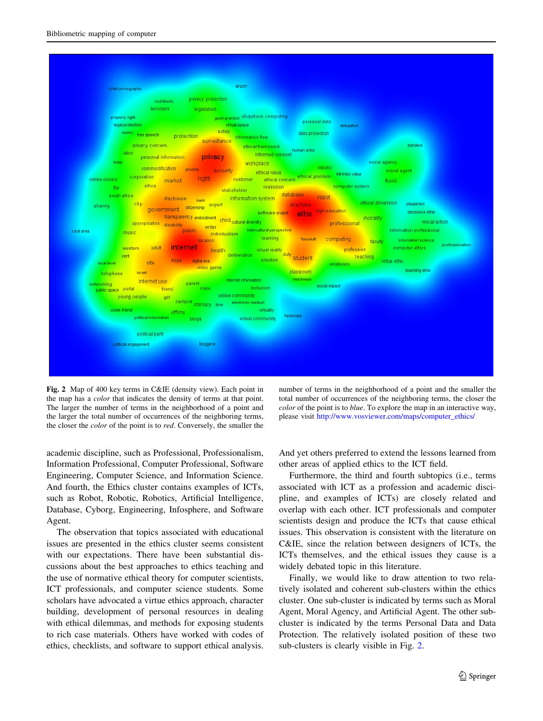<span id="page-6-0"></span>

Fig. 2 Map of 400 key terms in C&IE (density view). Each point in the map has a color that indicates the density of terms at that point. The larger the number of terms in the neighborhood of a point and the larger the total number of occurrences of the neighboring terms, the closer the color of the point is to red. Conversely, the smaller the

academic discipline, such as Professional, Professionalism, Information Professional, Computer Professional, Software Engineering, Computer Science, and Information Science. And fourth, the Ethics cluster contains examples of ICTs, such as Robot, Robotic, Robotics, Artificial Intelligence, Database, Cyborg, Engineering, Infosphere, and Software Agent.

The observation that topics associated with educational issues are presented in the ethics cluster seems consistent with our expectations. There have been substantial discussions about the best approaches to ethics teaching and the use of normative ethical theory for computer scientists, ICT professionals, and computer science students. Some scholars have advocated a virtue ethics approach, character building, development of personal resources in dealing with ethical dilemmas, and methods for exposing students to rich case materials. Others have worked with codes of ethics, checklists, and software to support ethical analysis.

number of terms in the neighborhood of a point and the smaller the total number of occurrences of the neighboring terms, the closer the color of the point is to blue. To explore the map in an interactive way, please visit [http://www.vosviewer.com/maps/computer\\_ethics/](http://www.vosviewer.com/maps/computer_ethics/)

And yet others preferred to extend the lessons learned from other areas of applied ethics to the ICT field.

Furthermore, the third and fourth subtopics (i.e., terms associated with ICT as a profession and academic discipline, and examples of ICTs) are closely related and overlap with each other. ICT professionals and computer scientists design and produce the ICTs that cause ethical issues. This observation is consistent with the literature on C&IE, since the relation between designers of ICTs, the ICTs themselves, and the ethical issues they cause is a widely debated topic in this literature.

Finally, we would like to draw attention to two relatively isolated and coherent sub-clusters within the ethics cluster. One sub-cluster is indicated by terms such as Moral Agent, Moral Agency, and Artificial Agent. The other subcluster is indicated by the terms Personal Data and Data Protection. The relatively isolated position of these two sub-clusters is clearly visible in Fig. 2.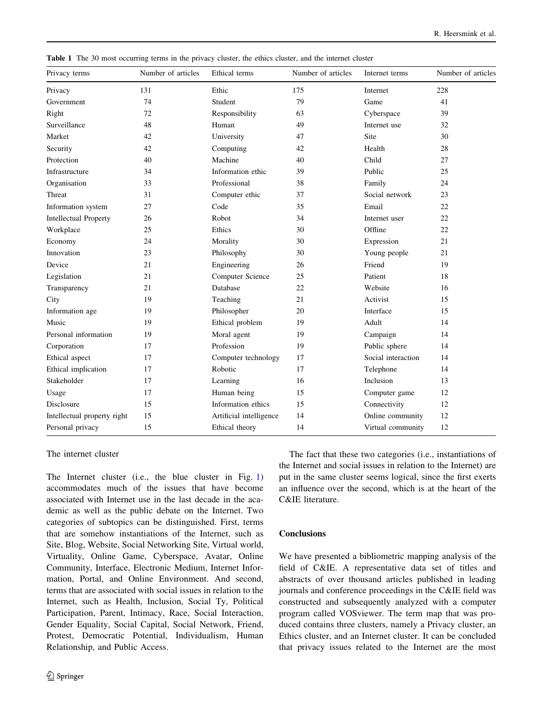<span id="page-7-0"></span>Table 1 The 30 most occurring terms in the privacy cluster, the ethics cluster, and the internet cluster

| Privacy terms                | Number of articles | Ethical terms           | Number of articles | Internet terms     | Number of articles |
|------------------------------|--------------------|-------------------------|--------------------|--------------------|--------------------|
| Privacy                      | 131                | Ethic                   | 175                | Internet           | 228                |
| Government                   | 74                 | Student                 | 79                 | Game               | 41                 |
| Right                        | 72                 | Responsibility          | 63                 | Cyberspace         | 39                 |
| Surveillance                 | 48                 | Human                   | 49                 | Internet use       | 32                 |
| Market                       | 42                 | University              | 47                 | Site               | 30                 |
| Security                     | 42                 | Computing               | 42                 | Health             | 28                 |
| Protection                   | 40                 | Machine                 | 40                 | Child              | 27                 |
| Infrastructure               | 34                 | Information ethic       | 39                 | Public             | 25                 |
| Organisation                 | 33                 | Professional            | 38                 | Family             | 24                 |
| Threat                       | 31                 | Computer ethic          | 37                 | Social network     | 23                 |
| Information system           | 27                 | Code                    | 35                 | Email              | 22                 |
| <b>Intellectual Property</b> | 26                 | Robot                   | 34                 | Internet user      | 22                 |
| Workplace                    | 25                 | Ethics                  | 30                 | Offline            | 22                 |
| Economy                      | 24                 | Morality                | 30                 | Expression         | 21                 |
| Innovation                   | 23                 | Philosophy              | 30                 | Young people       | 21                 |
| Device                       | 21                 | Engineering             | 26                 | Friend             | 19                 |
| Legislation                  | 21                 | Computer Science        | 25                 | Patient            | 18                 |
| Transparency                 | 21                 | Database                | 22                 | Website            | 16                 |
| City                         | 19                 | Teaching                | 21                 | Activist           | 15                 |
| Information age              | 19                 | Philosopher             | 20                 | Interface          | 15                 |
| Music                        | 19                 | Ethical problem         | 19                 | Adult              | 14                 |
| Personal information         | 19                 | Moral agent             | 19                 | Campaign           | 14                 |
| Corporation                  | 17                 | Profession              | 19                 | Public sphere      | 14                 |
| Ethical aspect               | 17                 | Computer technology     | 17                 | Social interaction | 14                 |
| Ethical implication          | 17                 | Robotic                 | 17                 | Telephone          | 14                 |
| Stakeholder                  | 17                 | Learning                | 16                 | Inclusion          | 13                 |
| Usage                        | 17                 | Human being             | 15                 | Computer game      | 12                 |
| Disclosure                   | 15                 | Information ethics      | 15                 | Connectivity       | 12                 |
| Intellectual property right  | 15                 | Artificial intelligence | 14                 | Online community   | 12                 |
| Personal privacy             | 15                 | Ethical theory          | 14                 | Virtual community  | 12                 |

#### The internet cluster

The Internet cluster (i.e., the blue cluster in Fig. [1\)](#page-5-0) accommodates much of the issues that have become associated with Internet use in the last decade in the academic as well as the public debate on the Internet. Two categories of subtopics can be distinguished. First, terms that are somehow instantiations of the Internet, such as Site, Blog, Website, Social Networking Site, Virtual world, Virtuality, Online Game, Cyberspace, Avatar, Online Community, Interface, Electronic Medium, Internet Information, Portal, and Online Environment. And second, terms that are associated with social issues in relation to the Internet, such as Health, Inclusion, Social Ty, Political Participation, Parent, Intimacy, Race, Social Interaction, Gender Equality, Social Capital, Social Network, Friend, Protest, Democratic Potential, Individualism, Human Relationship, and Public Access.

The fact that these two categories (i.e., instantiations of the Internet and social issues in relation to the Internet) are put in the same cluster seems logical, since the first exerts an influence over the second, which is at the heart of the C&IE literature.

## **Conclusions**

We have presented a bibliometric mapping analysis of the field of C&IE. A representative data set of titles and abstracts of over thousand articles published in leading journals and conference proceedings in the C&IE field was constructed and subsequently analyzed with a computer program called VOSviewer. The term map that was produced contains three clusters, namely a Privacy cluster, an Ethics cluster, and an Internet cluster. It can be concluded that privacy issues related to the Internet are the most